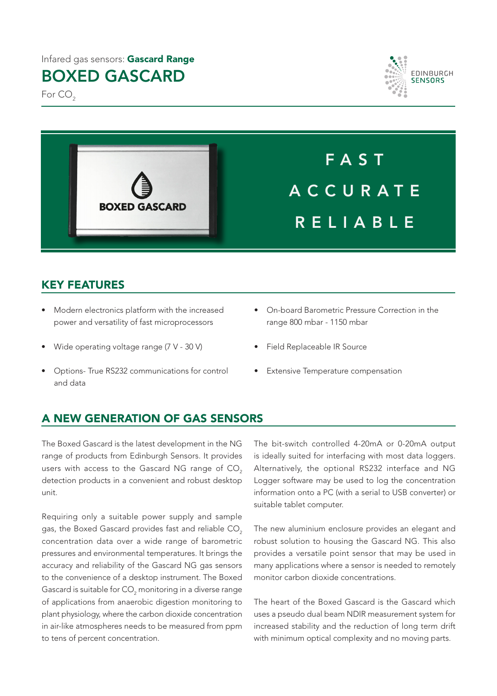#### Infared gas sensors: Gascard Range

# BOXED GASCARD

For CO<sub>2</sub>





## KEY FEATURES

- Modern electronics platform with the increased power and versatility of fast microprocessors
- Wide operating voltage range (7 V 30 V)
- Options- True RS232 communications for control and data
- On-board Barometric Pressure Correction in the range 800 mbar - 1150 mbar

FAST

A C C U R A T E

RELIABLE

- Field Replaceable IR Source
- **Extensive Temperature compensation**

### A NEW GENERATION OF GAS SENSORS

The Boxed Gascard is the latest development in the NG range of products from Edinburgh Sensors. It provides users with access to the Gascard NG range of CO<sub>2</sub> detection products in a convenient and robust desktop unit.

Requiring only a suitable power supply and sample gas, the Boxed Gascard provides fast and reliable CO<sub>2</sub> concentration data over a wide range of barometric pressures and environmental temperatures. It brings the accuracy and reliability of the Gascard NG gas sensors to the convenience of a desktop instrument. The Boxed Gascard is suitable for CO $_{\textrm{\tiny{2}}}$  monitoring in a diverse range of applications from anaerobic digestion monitoring to plant physiology, where the carbon dioxide concentration in air-like atmospheres needs to be measured from ppm to tens of percent concentration.

The bit-switch controlled 4-20mA or 0-20mA output is ideally suited for interfacing with most data loggers. Alternatively, the optional RS232 interface and NG Logger software may be used to log the concentration information onto a PC (with a serial to USB converter) or suitable tablet computer.

The new aluminium enclosure provides an elegant and robust solution to housing the Gascard NG. This also provides a versatile point sensor that may be used in many applications where a sensor is needed to remotely monitor carbon dioxide concentrations.

The heart of the Boxed Gascard is the Gascard which uses a pseudo dual beam NDIR measurement system for increased stability and the reduction of long term drift with minimum optical complexity and no moving parts.